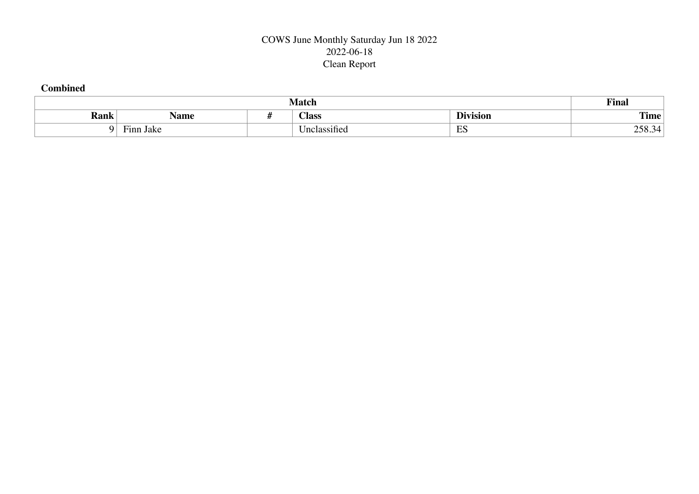## COWS June Monthly Saturday Jun 18 2022 2022-06-18 Clean Report

## **Combined**

|             |                                       | <b>Match</b>                        |                                 | Final          |  |  |  |  |
|-------------|---------------------------------------|-------------------------------------|---------------------------------|----------------|--|--|--|--|
| <b>Rank</b> | Name                                  | <b>Class</b>                        | $\mathbf{r}$<br>. .<br>Jivision | rune.<br>1'ıme |  |  |  |  |
|             | $\overline{\phantom{a}}$<br>Finn Jake | $\cdot$ $\sim$<br>.<br>Jnclassified | $\Gamma$<br>دت                  | 258.<br>≺⊿     |  |  |  |  |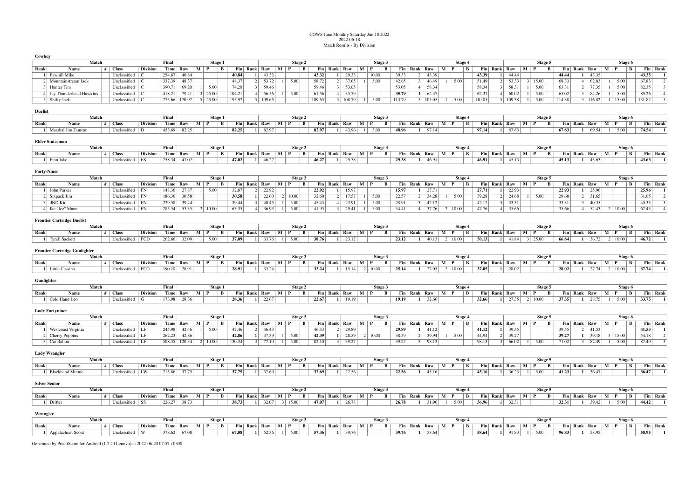## COWS June Monthly Saturday Jun 18 2022 2022-06-18 Match Results - By Division

**Cowboy**

|                               | Match                                |  |                                 |                 | Final              |                  | <b>Stage 1</b>                                    |              |                 |                 |                             | Stage 2                |        |                |                 |                           | Stage 3        |        |                |                                        |                                   | Stage 4        |                |              |                  |       |                             | Stage 5                 |        |                |                                        |                                   | Stage 6                 |        |                  |
|-------------------------------|--------------------------------------|--|---------------------------------|-----------------|--------------------|------------------|---------------------------------------------------|--------------|-----------------|-----------------|-----------------------------|------------------------|--------|----------------|-----------------|---------------------------|----------------|--------|----------------|----------------------------------------|-----------------------------------|----------------|----------------|--------------|------------------|-------|-----------------------------|-------------------------|--------|----------------|----------------------------------------|-----------------------------------|-------------------------|--------|------------------|
| Rank                          | <b>Name</b>                          |  | $#$ Class                       | <b>Division</b> | Time Raw           |                  | $M$ P<br>B                                        | Fin Rank Raw |                 |                 | M P                         | B                      |        | Fin Rank Raw   |                 | M P                       | $\mathbf{B}$   |        | Fin Rank Raw   |                                        | $M$   $P$                         |                | B              | Fin Rank Raw |                  |       | $M \mid P$                  | $\mathbf{B}$            |        |                | Fin Rank Raw                           | $\mathbf{M} \mid \mathbf{P}$      | $\mathbf{B}$            |        | Fin Rank         |
|                               | 1 Pawhill Mike                       |  | Unclassified<br>$\sqrt{ }$      |                 | 254.67             | 40.84            |                                                   | 40.84        | $\vert 1 \vert$ | 43.32           |                             |                        | 43.32  | $\mathbf{1}$   | 29.33           | 10.00                     |                | 39.33  | 2 <sup>1</sup> | 43.39                                  |                                   |                | 43.39          |              |                  | 44.44 |                             |                         | 44.44  |                | 43.35                                  |                                   |                         | 43.35  |                  |
|                               | 2 Mountainstream Jack                |  | Unclassified<br>C               |                 | 337.39             | 48.37            |                                                   | 48.37        |                 | 2 53.72         | $1 \quad 5.00$              |                        | 58.72  |                | $2 \mid 37.65$  | $1 \quad 5.00$            |                | 42.65  |                | $3 \mid 46.49$                         |                                   | 5.00           | 51.49          |              | 2                | 53.33 | $3 \mid 15.00$              |                         | 68.33  | 4              | 62.83                                  | $\frac{1}{2}$                     | 5.00                    | 67.83  | $\overline{2}$   |
|                               | 3 Hunter Tim                         |  | Unclassified<br>$\Gamma$        |                 | 390.71             | 69.20            | $1 \mid 5.00$                                     | 74.20        |                 | $3 \mid 59.46$  |                             |                        | 59.46  | 3 <sup>1</sup> | 53.05           |                           |                | 53.05  |                | 4 58.34                                |                                   |                | 58.34          |              | $\vert$ 3        | 58.31 | 5.00<br>1 <sup>1</sup>      |                         | 63.31  | 2 <sup>1</sup> | 77.35                                  | $\frac{1}{2}$                     | 5.00                    | 82.35  |                  |
|                               | 4 Jay Thunderhead Hawkins            |  | Unclassified<br>$\epsilon$      |                 | 418.21             | 79.21            | 3 25.00                                           | 104.21       |                 | 4 56.56         | 5.00<br>$\perp$             |                        | 61.56  |                | 4 35.79         |                           |                | 35.79  |                | $1 \t 62.37$                           |                                   |                | 62.37          |              | 4                | 60.02 | 1 <sup>1</sup>              | 5.00                    | 65.02  | 3 <sup>1</sup> | 84.26                                  | $\frac{1}{2}$                     | 5.00                    | 89.26  | $\overline{4}$   |
|                               | 5 Shifty Jack                        |  | Unclassified<br>-C              |                 | 775.66 170.97      |                  | 5 25.00                                           | 195.97       |                 | 5 109.65        |                             |                        | 109.65 |                | 5 108.79        | $1 \quad 5.00$            |                | 113.79 |                | 5 105.05                               |                                   | 5.00           | 110.05         |              | 5 109.38         |       | 1 5.00                      |                         | 114.38 |                | $5 \mid 116.82 \mid$                   |                                   | 1 15.00                 | 131.82 | 5                |
|                               |                                      |  |                                 |                 |                    |                  |                                                   |              |                 |                 |                             |                        |        |                |                 |                           |                |        |                |                                        |                                   |                |                |              |                  |       |                             |                         |        |                |                                        |                                   |                         |        |                  |
| <b>Duelist</b>                |                                      |  |                                 |                 |                    |                  |                                                   |              |                 |                 |                             |                        |        |                |                 |                           |                |        |                |                                        |                                   |                |                |              |                  |       |                             |                         |        |                |                                        |                                   |                         |        |                  |
|                               | Match                                |  |                                 |                 | Final              |                  | Stage 1                                           |              |                 |                 |                             | Stage 2                |        |                |                 |                           | Stage 3        |        |                |                                        |                                   | Stage 4        |                |              |                  |       |                             | Stage 5                 |        |                |                                        |                                   | Stage 6                 |        |                  |
| Rank                          | Name                                 |  | $#$ Class                       | <b>Division</b> |                    | Time Raw M P     | $\mathbf{B}$                                      |              |                 |                 | Fin Rank Raw M P            | B                      |        |                |                 | Fin Rank Raw M P          | $\mathbf{B}$   |        |                | Fin Rank Raw M P                       |                                   |                | B              |              |                  |       | Fin Rank Raw M P            | $\mathbf{B}$            |        |                | Fin Rank Raw M P                       |                                   | $\mathbf{B}$            |        | Fin Rank         |
|                               | 1 Marshal Jim Duncan                 |  | Unclassified<br>D               |                 | 453.69             | 82.25            |                                                   | 82.25        |                 | $1 \quad 82.97$ |                             |                        | 82.97  |                | $1 \quad 43.96$ | 1 5.00                    |                | 48.96  |                | 1 97.14                                |                                   |                | 97.14          |              | 1                | 67.83 |                             |                         | 67.83  | -11            | 69.54                                  |                                   | 1 5.00                  | 74.54  |                  |
|                               |                                      |  |                                 |                 |                    |                  |                                                   |              |                 |                 |                             |                        |        |                |                 |                           |                |        |                |                                        |                                   |                |                |              |                  |       |                             |                         |        |                |                                        |                                   |                         |        |                  |
|                               | <b>Elder Statesman</b>               |  |                                 |                 |                    |                  |                                                   |              |                 |                 |                             |                        |        |                |                 |                           |                |        |                |                                        |                                   |                |                |              |                  |       |                             |                         |        |                |                                        |                                   |                         |        |                  |
|                               | Match                                |  |                                 |                 | Final              |                  | Stage 1                                           |              |                 |                 |                             | Stage 2                |        |                |                 |                           | Stage 3        |        |                |                                        |                                   | Stage 4        |                |              |                  |       |                             | Stage 5                 |        |                |                                        |                                   | Stage 6                 |        |                  |
| Rank                          | Name                                 |  | $#$ Class<br>Unclassified<br>ES | <b>Division</b> | Time Raw<br>258.34 | 47.02            | $M \mid P$<br>B                                   | 47.02        |                 | $1 \mid 46.27$  | Fin Rank Raw M P            | B                      | 46.27  |                | 1 29.38         | Fin Rank Raw M P          | B              | 29.38  |                | Fin Rank Raw   M   P<br>$1 \mid 46.91$ |                                   |                | B<br>46.91     |              | $\mathbf{1}$     | 45.13 | Fin Rank Raw   M   P        | B                       | 45.13  |                | Fin Rank Raw   M   P<br>$1 \mid 43.63$ |                                   | $\mathbf{B}$            | 43.63  | Fin Rank         |
|                               | 1 Finn Jake                          |  |                                 |                 |                    |                  |                                                   |              |                 |                 |                             |                        |        |                |                 |                           |                |        |                |                                        |                                   |                |                |              |                  |       |                             |                         |        |                |                                        |                                   |                         |        |                  |
|                               | <b>Forty-Niner</b>                   |  |                                 |                 |                    |                  |                                                   |              |                 |                 |                             |                        |        |                |                 |                           |                |        |                |                                        |                                   |                |                |              |                  |       |                             |                         |        |                |                                        |                                   |                         |        |                  |
|                               | Match                                |  |                                 |                 | Final              |                  | Stage 1                                           |              |                 |                 |                             | Stage 2                |        |                |                 |                           | Stage 3        |        |                |                                        |                                   | Stage 4        |                |              |                  |       |                             | Stage 5                 |        |                |                                        |                                   | Stage 6                 |        |                  |
| Rank                          | Name                                 |  | $#$ Class                       | <b>Division</b> | Time Raw           |                  | $M$ P<br>B                                        | Fin          | Rank Raw        |                 | M P                         | B                      |        | Fin Rank Raw   |                 | $\mathbf{M}$ $\mathbf{P}$ | B              |        | Fin Rank Raw   |                                        | $M$ P                             |                | B              | Fin Rank Raw |                  |       | $\mathbf{M}$   $\mathbf{P}$ | B                       |        |                | Fin Rank Raw                           | $\mathbf{M} \parallel \mathbf{P}$ | В                       |        | Fin Rank         |
|                               | 1 John Parker                        |  | Unclassified<br><b>FN</b>       |                 | 148.36             | 27.87            | $\overline{1}$<br>5.00                            | 32.87        | 2 <sup>1</sup>  | 22.92           |                             |                        | 22.92  | 1 <sup>1</sup> | 15.97           |                           |                | 15.97  |                | $1 \quad 27.71$                        |                                   |                | 27.71          |              | $\mathbf{1}$     | 22.93 |                             |                         | 22.93  | 1 <sup>1</sup> | 25.96                                  |                                   |                         | 25.96  |                  |
|                               | 2 Sixpack Jim                        |  | Unclassified<br><b>FN</b>       |                 | 186.36             | 30.58            |                                                   | 30.58        |                 | $1 \quad 22.60$ | 2 10.00                     |                        | 32.60  | 2              | 17.57           | 5.00<br>$\frac{1}{2}$     |                | 22.57  |                | 2 34.28                                | $\vert$ 1                         | 5.00           | 39.28          |              | 2                | 24.68 |                             | 5.00                    | 29.68  |                | 2 31.65                                |                                   |                         | 31.65  | 2                |
|                               | 3 dND Kid                            |  | Unclassified<br><b>FN</b>       |                 | 229.58             | 39.44            |                                                   | 39.44        | $\vert$ 3       | 40.45           | 5.00<br>$\blacksquare$      |                        | 45.45  | 4 <sup>1</sup> | 23.91           | 5.00<br>$\frac{1}{2}$     |                | 28.91  |                | $3 \mid 42.12$                         |                                   |                | 42.12          |              | $\vert$ 3        | 33.31 |                             |                         | 33.31  | $\vert$ 3      | 40.35                                  |                                   |                         | 40.35  | $\vert$ 3        |
|                               | 4 Ike "Ice" Mann                     |  | Unclassified<br>FN              |                 | 285.54             | 53.35            | $2 \mid 10.00$                                    | 63.35        |                 | 4 36.93         | 5.00<br>$\vert$             |                        | 41.93  | 3              | 29.41           | 5.00<br>$\frac{1}{2}$     |                | 34.41  |                | 4 37.76                                |                                   | $2 \mid 10.00$ | 47.76          |              | $\left 4\right $ | 35.66 |                             |                         | 35.66  |                | 4 52.43                                |                                   | 2 10.00                 | 62.43  | $\left 4\right $ |
|                               |                                      |  |                                 |                 |                    |                  |                                                   |              |                 |                 |                             |                        |        |                |                 |                           |                |        |                |                                        |                                   |                |                |              |                  |       |                             |                         |        |                |                                        |                                   |                         |        |                  |
|                               | <b>Frontier Cartridge Duelist</b>    |  |                                 |                 |                    |                  |                                                   |              |                 |                 |                             |                        |        |                |                 |                           |                |        |                |                                        |                                   |                |                |              |                  |       |                             |                         |        |                |                                        |                                   |                         |        |                  |
|                               | Match                                |  |                                 |                 | Final              |                  | Stage 1                                           |              |                 |                 |                             | Stage 2                |        |                |                 |                           | Stage 3        |        |                |                                        |                                   | Stage 4        |                |              |                  |       |                             | Stage 5                 |        |                |                                        |                                   | Stage 6                 |        |                  |
| Rank                          | Name                                 |  | $#$ Class                       | <b>Division</b> | Time               | Raw              | $\mathbf{M}$   $\mathbf{P}$<br>$\mathbf{B}$       | Fin Rank Raw |                 |                 | $\mathbf{M}$   $\mathbf{P}$ | B                      |        |                |                 | Fin Rank Raw M P          | $\mathbf{B}$   |        | Fin Rank Raw   |                                        | $\mathbf{M} \parallel \mathbf{P}$ |                | $\mathbf{B}$   | Fin Rank Raw |                  |       | $M$ P                       | B                       |        |                | Fin Rank Raw   M   P                   |                                   | В                       |        | Fin Rank         |
|                               | 1 Tyrell Sackett                     |  | Unclassified<br>FCD             |                 | 262.66             | 32.09            | 5.00<br>$\overline{1}$                            | 37.09        |                 | 1 33.76         | 1 5.00                      |                        | 38.76  |                | $1 \quad 23.12$ |                           |                | 23.12  |                | $1 \quad 40.13$                        |                                   | 2 10.00        | 50.13          |              | 1 41.84          |       | $3 \mid 25.00$              |                         | 66.84  |                | $1 \quad 36.72$                        |                                   | 2 10.00                 | 46.72  |                  |
|                               |                                      |  |                                 |                 |                    |                  |                                                   |              |                 |                 |                             |                        |        |                |                 |                           |                |        |                |                                        |                                   |                |                |              |                  |       |                             |                         |        |                |                                        |                                   |                         |        |                  |
|                               | <b>Frontier Cartridge Gunfighter</b> |  |                                 |                 |                    |                  |                                                   |              |                 |                 |                             |                        |        |                |                 |                           |                |        |                |                                        |                                   |                |                |              |                  |       |                             |                         |        |                |                                        |                                   |                         |        |                  |
|                               | Match                                |  |                                 |                 | Final              |                  | Stage 1                                           |              |                 |                 |                             | Stage 2                |        |                |                 |                           | Stage 3        |        |                |                                        |                                   | Stage 4        |                |              |                  |       |                             | Stage 5                 |        |                |                                        |                                   | Stage 6                 |        |                  |
| Rank                          | Name                                 |  | $#$ Class                       | <b>Division</b> | Time Raw           |                  | $M$ P<br>B                                        | Fin Rank Raw |                 |                 | $M$ P                       | $\bf{B}$               |        |                |                 | Fin Rank Raw   M   P      | B              |        | Fin Rank Raw   |                                        | $M$ P                             |                | B              | Fin Rank Raw |                  |       | $M$ P                       | B                       |        |                | Fin Rank Raw                           | $M$ P                             | $\mathbf{B}$            |        | Fin Rank         |
|                               | 1 Little Cassino                     |  | Unclassified<br>FCG             |                 | 190.10             | 28.91            |                                                   | 28.91        |                 | $1 \quad 33.24$ |                             |                        | 33.24  |                | $1 \quad 15.14$ | 2 10.00                   |                | 25.14  |                | 1 27.05                                |                                   | 2 10.00        | 37.05          |              | $\vert 1 \vert$  | 28.02 |                             |                         | 28.02  |                | $1 \quad 27.74$                        |                                   | 2 10.00                 | 37.74  |                  |
| Gunfighter                    |                                      |  |                                 |                 |                    |                  |                                                   |              |                 |                 |                             |                        |        |                |                 |                           |                |        |                |                                        |                                   |                |                |              |                  |       |                             |                         |        |                |                                        |                                   |                         |        |                  |
|                               | Match                                |  |                                 |                 |                    |                  |                                                   |              |                 |                 |                             |                        |        |                |                 |                           |                |        |                |                                        |                                   |                |                |              |                  |       |                             |                         |        |                |                                        |                                   |                         |        |                  |
| Rank                          | Name                                 |  | $#$ Class                       | <b>Division</b> | Final<br>Time Raw  |                  | Stage 1<br>$\mathbf{M} \parallel \mathbf{P}$<br>В | Fin Rank Raw |                 |                 | $M$ P                       | Stage 2<br>B           |        | Fin Rank Raw   |                 |                           | Stage 3<br>B   |        | Fin Rank Raw   |                                        | $M$ P                             | Stage 4        | B              | Fin Rank Raw |                  |       | $M$ P                       | Stage 5<br>$\mathbf{B}$ |        |                | Fin Rank Raw                           |                                   | Stage 6<br>$\mathbf{B}$ |        | Fin Rank         |
|                               | 1 Cold Hand Leo                      |  | Unclassified<br>G               |                 | 173.98             | 28.36            |                                                   | 28.36        |                 | $1 \quad 22.67$ |                             |                        | 22.67  |                | $1 \t19.19$     | $M$ P                     |                | 19.19  |                | 1 32.66                                |                                   |                | 32.66          |              | $1 \quad 27.35$  |       | 2 10.00                     |                         | 37.35  |                | $1 \quad 28.75$                        | $M$ P                             | 1 5.00                  | 33.75  |                  |
|                               |                                      |  |                                 |                 |                    |                  |                                                   |              |                 |                 |                             |                        |        |                |                 |                           |                |        |                |                                        |                                   |                |                |              |                  |       |                             |                         |        |                |                                        |                                   |                         |        |                  |
|                               | <b>Lady Fortyniner</b>               |  |                                 |                 |                    |                  |                                                   |              |                 |                 |                             |                        |        |                |                 |                           |                |        |                |                                        |                                   |                |                |              |                  |       |                             |                         |        |                |                                        |                                   |                         |        |                  |
|                               | Match                                |  |                                 |                 | Final              |                  | Stage 1                                           |              |                 |                 |                             | Stage 2                |        |                |                 |                           | Stage 3        |        |                |                                        |                                   | Stage 4        |                |              |                  |       |                             | Stage 5                 |        |                |                                        |                                   | Stage 6                 |        |                  |
| Rank                          | Name                                 |  | $#$ Class                       | <b>Division</b> | Time Raw           |                  | M P<br>$\mathbf{B}$                               | Fin Rank Raw |                 |                 | M P                         | B                      |        | Fin Rank Raw   |                 | M P                       | $\mathbf B$    |        | Fin Rank Raw   |                                        | M P                               |                | B              | Fin Rank Raw |                  |       | $\mathbf{M}$   $\mathbf{P}$ | $\mathbf{B}$            |        |                | Fin Rank Raw                           | M P                               | $\bf{B}$                |        | Fin Rank         |
|                               | 1 Westcoast Virginia                 |  | Unclassified<br>LF              |                 | 245.98             | 42.46            | 5.00<br>$\left  \right $                          | 47.46        | 2               | 46.43           |                             |                        | 46.43  | 2              | 29.89           |                           |                | 29.89  |                | $1 \quad 41.12$                        |                                   |                | 41.12          |              | $\vert$ 1        | 39.55 |                             |                         | 39.55  | 2              | 41.53                                  |                                   |                         | 41.53  | $\vert$ 1        |
|                               | 2 Cherry Poppins                     |  | Unclassified<br>LF              |                 | 262.23             | 42.86            |                                                   | 42.86        |                 | 1 37.39         | $1 \mid 5.00$               |                        | 42.39  |                | 1 28.59         | 2 10.00                   |                | 38.59  |                | 2 39.94                                | $\overline{1}$                    | 5.00           | 44.94          |              | 2                | 39.27 |                             |                         | 39.27  |                | 1 39.18                                |                                   | $3 \mid 15.00$          | 54.18  | $\vert$ 2        |
|                               | 3 Cat Ballou                         |  | Unclassified<br>  LF            |                 | 508.35 120.34      |                  | 2 10.00                                           | 130.34       |                 | $3 \mid 77.10$  | 5.00<br>1 <sup>1</sup>      |                        | 82.10  |                | 3 39.27         |                           |                | 39.27  |                | 3 98.13                                |                                   |                | 98.13          |              | $\vert$ 3        | 66.02 | 5.00<br>1 <sup>1</sup>      |                         | 71.02  | 3              | 82.49                                  | $\overline{1}$                    | 5.00                    | 87.49  | 3                |
|                               |                                      |  |                                 |                 |                    |                  |                                                   |              |                 |                 |                             |                        |        |                |                 |                           |                |        |                |                                        |                                   |                |                |              |                  |       |                             |                         |        |                |                                        |                                   |                         |        |                  |
|                               | <b>Lady Wrangler</b>                 |  |                                 |                 |                    |                  |                                                   |              |                 |                 |                             |                        |        |                |                 |                           |                |        |                |                                        |                                   |                |                |              |                  |       |                             |                         |        |                |                                        |                                   |                         |        |                  |
|                               | Match                                |  |                                 |                 | Final              |                  | Stage 1                                           |              |                 |                 |                             | Stage 2                |        |                |                 |                           | Stage 3        |        |                |                                        |                                   | Stage 4        |                |              |                  |       |                             | Stage 5                 |        |                |                                        |                                   | Stage 6                 |        |                  |
| Rank                          | Name                                 |  | $#$ Class                       | <b>Division</b> |                    | Time Raw   M   P | B                                                 |              |                 |                 | Fin Rank Raw M P            | B                      |        |                |                 | Fin Rank Raw   M   P      | $\mathbf{B}$   |        |                | Fin Rank Raw M P                       |                                   |                | B              |              |                  |       | Fin Rank Raw   M   P        | B                       |        |                | Fin Rank Raw   M   P                   |                                   | $\mathbf{B}$            |        | <b>Fin</b> Rank  |
|                               | 1 Blackhand Minnie                   |  | Unclassified<br>LW              |                 | 215.86             | 37.75            |                                                   | 37.75        |                 | $1 \quad 32.69$ |                             |                        | 32.69  |                | $1 \quad 22.56$ |                           |                | 22.56  |                | $1 \quad 45.16$                        |                                   |                | 45.16          |              | $1 \quad 36.23$  |       | $\frac{1}{2}$               | 5.00                    | 41.23  |                | $1 \quad 36.47$                        |                                   |                         | 36.47  |                  |
|                               |                                      |  |                                 |                 |                    |                  |                                                   |              |                 |                 |                             |                        |        |                |                 |                           |                |        |                |                                        |                                   |                |                |              |                  |       |                             |                         |        |                |                                        |                                   |                         |        |                  |
| <b>Silver Senior</b><br>Match |                                      |  |                                 |                 |                    |                  |                                                   |              |                 |                 |                             |                        |        |                | Stage 3         |                           |                |        |                |                                        |                                   |                |                | Stage 5      |                  |       |                             |                         |        |                |                                        |                                   |                         |        |                  |
| Rank                          | Name                                 |  | $#$ Class                       | <b>Division</b> | Final              | Time Raw M P     | Stage 1<br>$\overline{B}$                         |              |                 |                 | Fin Rank Raw $M$ P          | Stage 2<br>$\boxed{B}$ |        |                |                 | Fin Rank Raw   M   P      | $\overline{B}$ |        |                | Fin Rank Raw M P                       |                                   | Stage 4        | $\overline{B}$ |              |                  |       | Fin Rank Raw   M   P        | $\overline{B}$          |        |                |                                        |                                   | Stage 6<br>$\mathbf{B}$ |        | Fin Rank         |
|                               |                                      |  | Unclassified                    |                 |                    | 38.73            |                                                   | 38.73        |                 |                 |                             |                        |        |                |                 |                           |                |        |                |                                        |                                   |                |                |              |                  |       |                             |                         | 32.31  |                | Fin Rank Raw   M   P                   |                                   | 5.00                    | 44.42  |                  |
|                               | 1 Drifter                            |  | SS                              |                 | 226.27             |                  |                                                   |              |                 | 1 32.07         | 3 15.00                     |                        | 47.07  |                | $1 \quad 26.78$ |                           |                | 26.78  |                | 1 31.96                                | $\vert$ 1                         | 5.00           | 36.96          |              | 1 32.31          |       |                             |                         |        |                | $1 \mid 39.42 \mid$                    | $\vert$ 1                         |                         |        |                  |
| Wrangler                      |                                      |  |                                 |                 |                    |                  |                                                   |              |                 |                 |                             |                        |        |                |                 |                           |                |        |                |                                        |                                   |                |                |              |                  |       |                             |                         |        |                |                                        |                                   |                         |        |                  |
|                               | Match                                |  |                                 |                 | Final              |                  | Stage 1                                           |              |                 |                 |                             | Stage 2                |        |                |                 |                           | Stage 3        |        |                |                                        |                                   | Stage 4        |                |              |                  |       |                             | Stage 5                 |        |                |                                        |                                   | Stage 6                 |        |                  |
| Rank                          | Name                                 |  | $#$ Class                       | <b>Division</b> |                    | Time Raw M P     | $\overline{B}$                                    |              |                 |                 | Fin Rank Raw $M$ P          | $\overline{B}$         |        |                |                 | Fin Rank Raw $M$ P        | $\overline{B}$ |        |                | Fin Rank Raw M P                       |                                   |                | $\overline{B}$ |              |                  |       | Fin Rank Raw   M   P        | B                       |        |                | Fin Rank Raw   M   P                   |                                   | $\mathbf{B}$            |        | Fin Rank         |
|                               |                                      |  |                                 |                 |                    |                  |                                                   |              |                 |                 |                             |                        |        |                |                 |                           |                |        |                |                                        |                                   |                |                |              |                  |       |                             |                         |        |                |                                        |                                   |                         |        |                  |

Generated by PractiScore for Android (1.7.20 Lenovo) at 2022-06-20 07:57 +0300